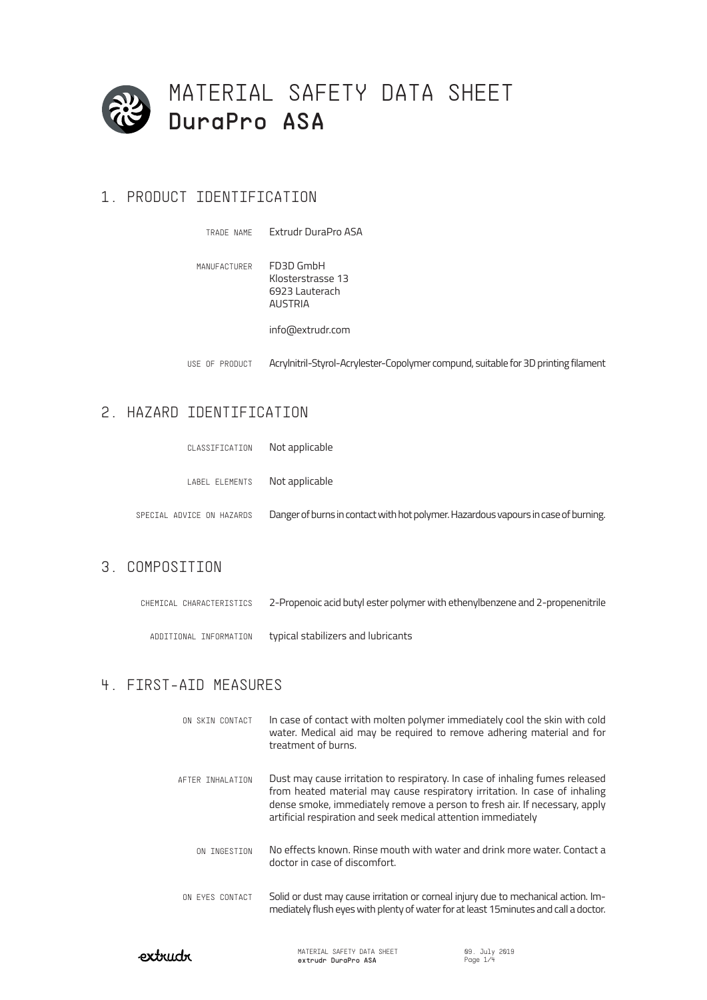

## 1. PRODUCT IDENTIFICATION

Extrudr DuraPro ASA TRADE NAME

MANUFACTURER FD3D GmbH Klosterstrasse 13 6923 Lauterach AUSTRIA info@extrudr.com

USE OF PRODUCT Acrylnitril-Styrol-Acrylester-Copolymer compund, suitable for 3D printing filament

## 2. HAZARD IDENTIFICATION

| CLASSIFICATION                | Not applicable                                                                     |
|-------------------------------|------------------------------------------------------------------------------------|
| LABEL ELEMENTS Not applicable |                                                                                    |
| SPECIAL ADVICE ON HAZARDS     | Danger of burns in contact with hot polymer. Hazardous vapours in case of burning. |

## 3. COMPOSITION

| CHEMICAL CHARACTERISTICS | 2-Propenoic acid butyl ester polymer with ethenylbenzene and 2-propenenitrile |
|--------------------------|-------------------------------------------------------------------------------|
| ADDITIONAL INFORMATION   | typical stabilizers and lubricants                                            |

### 4. FIRST-AID MEASURES

| ON SKIN CONTACT  | In case of contact with molten polymer immediately cool the skin with cold<br>water. Medical aid may be required to remove adhering material and for<br>treatment of burns.                                                                                                                               |
|------------------|-----------------------------------------------------------------------------------------------------------------------------------------------------------------------------------------------------------------------------------------------------------------------------------------------------------|
| AFTER INHALATION | Dust may cause irritation to respiratory. In case of inhaling fumes released<br>from heated material may cause respiratory irritation. In case of inhaling<br>dense smoke, immediately remove a person to fresh air. If necessary, apply<br>artificial respiration and seek medical attention immediately |
| ON INGESTION     | No effects known. Rinse mouth with water and drink more water. Contact a<br>doctor in case of discomfort.                                                                                                                                                                                                 |
| ON EYES CONTACT  | Solid or dust may cause irritation or corneal injury due to mechanical action. Im-<br>mediately flush eyes with plenty of water for at least 15 minutes and call a doctor.                                                                                                                                |

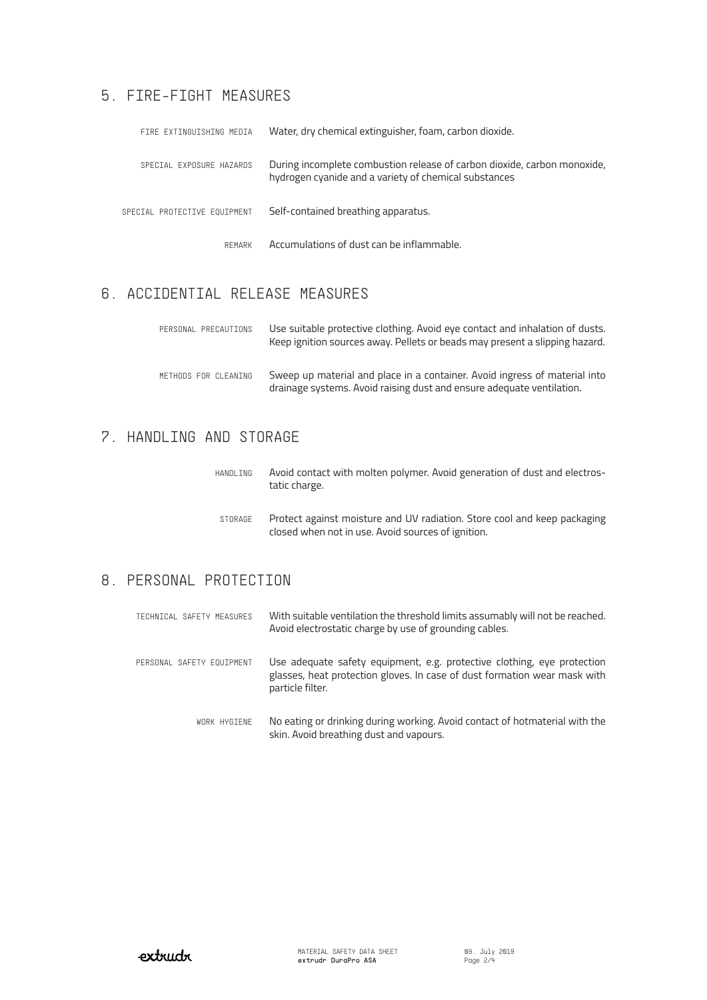## 5. FIRE-FIGHT MEASURES

| FIRE EXTINGUISHING MEDIA     | Water, dry chemical extinguisher, foam, carbon dioxide.                                                                           |  |
|------------------------------|-----------------------------------------------------------------------------------------------------------------------------------|--|
| SPECIAL EXPOSURE HAZARDS     | During incomplete combustion release of carbon dioxide, carbon monoxide,<br>hydrogen cyanide and a variety of chemical substances |  |
| SPECIAL PROTECTIVE EQUIPMENT | Self-contained breathing apparatus.                                                                                               |  |
| RFMARK                       | Accumulations of dust can be inflammable.                                                                                         |  |

# 6. ACCIDENTIAL RELEASE MEASURES

| PERSONAL PRECAUTIONS | Use suitable protective clothing. Avoid eye contact and inhalation of dusts.<br>Keep ignition sources away. Pellets or beads may present a slipping hazard. |
|----------------------|-------------------------------------------------------------------------------------------------------------------------------------------------------------|
| METHODS FOR CLEANING | Sweep up material and place in a container. Avoid ingress of material into<br>drainage systems. Avoid raising dust and ensure adequate ventilation.         |

## 7. HANDLING AND STORAGE

| HANDLING | Avoid contact with molten polymer. Avoid generation of dust and electros-<br>tatic charge.                                     |
|----------|--------------------------------------------------------------------------------------------------------------------------------|
| STORAGE  | Protect against moisture and UV radiation. Store cool and keep packaging<br>closed when not in use. Avoid sources of ignition. |

# 8. PERSONAL PROTECTION

| TECHNICAL SAFETY MEASURES | With suitable ventilation the threshold limits assumably will not be reached.<br>Avoid electrostatic charge by use of grounding cables.                                  |
|---------------------------|--------------------------------------------------------------------------------------------------------------------------------------------------------------------------|
| PERSONAL SAFETY EQUIPMENT | Use adequate safety equipment, e.g. protective clothing, eye protection<br>glasses, heat protection gloves. In case of dust formation wear mask with<br>particle filter. |
| WORK HYGIENE              | No eating or drinking during working. Avoid contact of hotmaterial with the<br>skin. Avoid breathing dust and vapours.                                                   |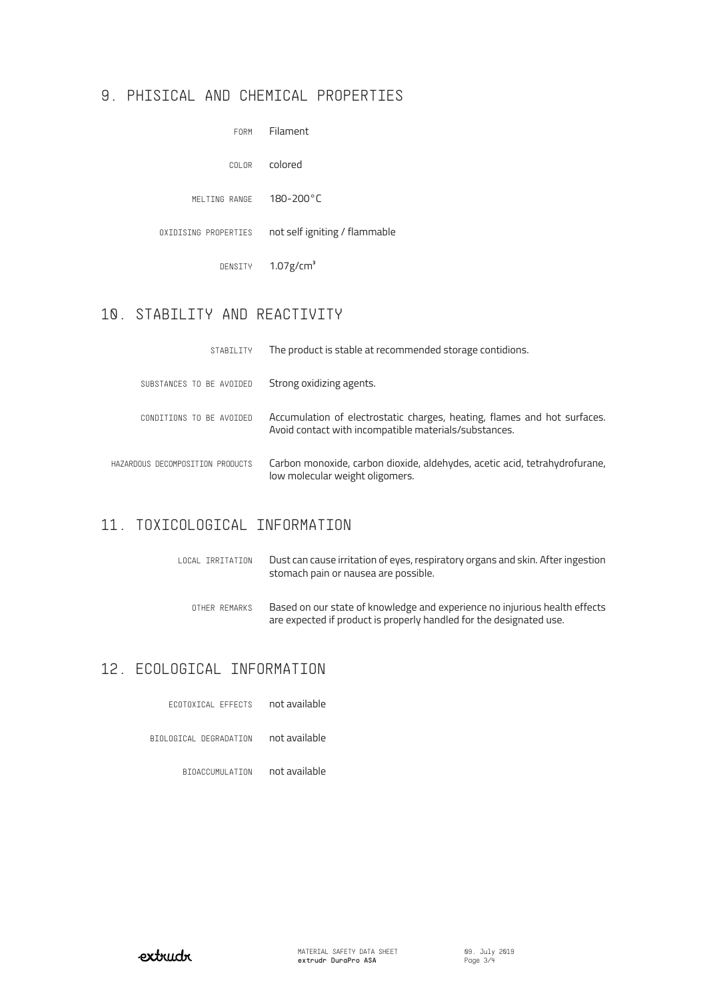#### 9. PHISICAL AND CHEMICAL PROPERTIES

| FORM                 | Filament                      |
|----------------------|-------------------------------|
| COLOR                | colored                       |
| MELTING RANGE        | $180 - 200^{\circ}$ C         |
| OXIDISING PROPERTIES | not self igniting / flammable |
| DENSITY              | $1.07$ g/cm <sup>3</sup>      |
|                      |                               |

# 10. STABILITY AND REACTIVITY

| STABILITY                        | The product is stable at recommended storage contidions.                                                                          |
|----------------------------------|-----------------------------------------------------------------------------------------------------------------------------------|
| SUBSTANCES TO BE AVOIDED         | Strong oxidizing agents.                                                                                                          |
| CONDITIONS TO BE AVOIDED         | Accumulation of electrostatic charges, heating, flames and hot surfaces.<br>Avoid contact with incompatible materials/substances. |
| HAZARDOUS DECOMPOSITION PRODUCTS | Carbon monoxide, carbon dioxide, aldehydes, acetic acid, tetrahydrofurane,<br>low molecular weight oligomers.                     |

## 11. TOXICOLOGICAL INFORMATION

| LOCAL IRRITATION | Dust can cause irritation of eyes, respiratory organs and skin. After ingestion<br>stomach pain or nausea are possible.                           |
|------------------|---------------------------------------------------------------------------------------------------------------------------------------------------|
| OTHER REMARKS    | Based on our state of knowledge and experience no injurious health effects<br>are expected if product is properly handled for the designated use. |

# 12. ECOLOGICAL INFORMATION

| FCOTOXICAL FFFFCIS     | not available |
|------------------------|---------------|
| BIOLOGICAL DEGRADATION | not available |

BIOACCUMULATION not available